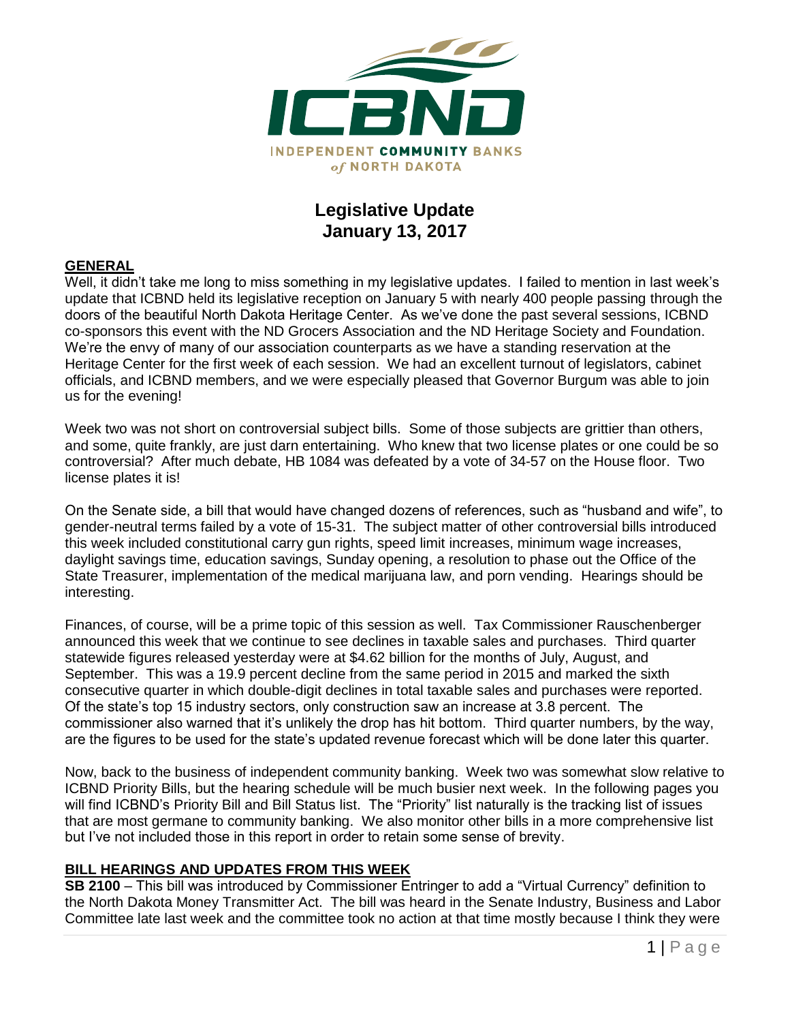

## **Legislative Update January 13, 2017**

#### **GENERAL**

Well, it didn't take me long to miss something in my legislative updates. I failed to mention in last week's update that ICBND held its legislative reception on January 5 with nearly 400 people passing through the doors of the beautiful North Dakota Heritage Center. As we've done the past several sessions, ICBND co-sponsors this event with the ND Grocers Association and the ND Heritage Society and Foundation. We're the envy of many of our association counterparts as we have a standing reservation at the Heritage Center for the first week of each session. We had an excellent turnout of legislators, cabinet officials, and ICBND members, and we were especially pleased that Governor Burgum was able to join us for the evening!

Week two was not short on controversial subject bills. Some of those subjects are grittier than others, and some, quite frankly, are just darn entertaining. Who knew that two license plates or one could be so controversial? After much debate, HB 1084 was defeated by a vote of 34-57 on the House floor. Two license plates it is!

On the Senate side, a bill that would have changed dozens of references, such as "husband and wife", to gender-neutral terms failed by a vote of 15-31. The subject matter of other controversial bills introduced this week included constitutional carry gun rights, speed limit increases, minimum wage increases, daylight savings time, education savings, Sunday opening, a resolution to phase out the Office of the State Treasurer, implementation of the medical marijuana law, and porn vending. Hearings should be interesting.

Finances, of course, will be a prime topic of this session as well. Tax Commissioner Rauschenberger announced this week that we continue to see declines in taxable sales and purchases. Third quarter statewide figures released yesterday were at \$4.62 billion for the months of July, August, and September. This was a 19.9 percent decline from the same period in 2015 and marked the sixth consecutive quarter in which double-digit declines in total taxable sales and purchases were reported. Of the state's top 15 industry sectors, only construction saw an increase at 3.8 percent. The commissioner also warned that it's unlikely the drop has hit bottom. Third quarter numbers, by the way, are the figures to be used for the state's updated revenue forecast which will be done later this quarter.

Now, back to the business of independent community banking. Week two was somewhat slow relative to ICBND Priority Bills, but the hearing schedule will be much busier next week. In the following pages you will find ICBND's Priority Bill and Bill Status list. The "Priority" list naturally is the tracking list of issues that are most germane to community banking. We also monitor other bills in a more comprehensive list but I've not included those in this report in order to retain some sense of brevity.

#### **BILL HEARINGS AND UPDATES FROM THIS WEEK**

**SB 2100** – This bill was introduced by Commissioner Entringer to add a "Virtual Currency" definition to the North Dakota Money Transmitter Act. The bill was heard in the Senate Industry, Business and Labor Committee late last week and the committee took no action at that time mostly because I think they were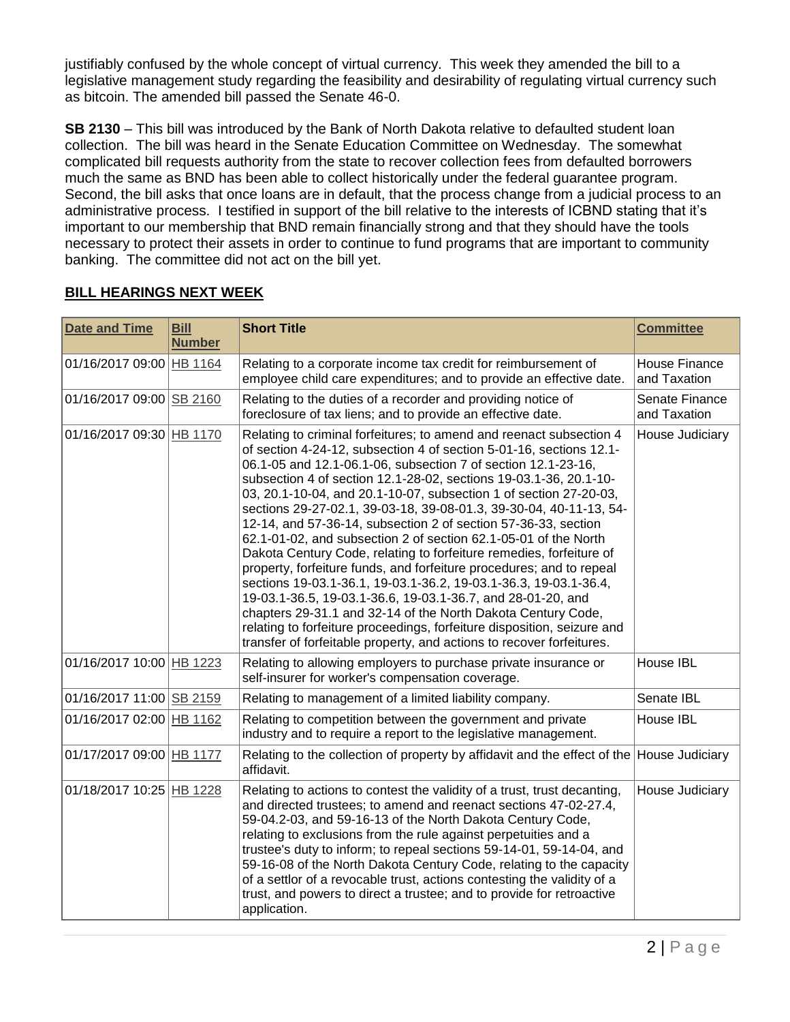justifiably confused by the whole concept of virtual currency. This week they amended the bill to a legislative management study regarding the feasibility and desirability of regulating virtual currency such as bitcoin. The amended bill passed the Senate 46-0.

**SB 2130** – This bill was introduced by the Bank of North Dakota relative to defaulted student loan collection. The bill was heard in the Senate Education Committee on Wednesday. The somewhat complicated bill requests authority from the state to recover collection fees from defaulted borrowers much the same as BND has been able to collect historically under the federal guarantee program. Second, the bill asks that once loans are in default, that the process change from a judicial process to an administrative process. I testified in support of the bill relative to the interests of ICBND stating that it's important to our membership that BND remain financially strong and that they should have the tools necessary to protect their assets in order to continue to fund programs that are important to community banking. The committee did not act on the bill yet.

| <b>Date and Time</b>     | <b>Bill</b><br><b>Number</b> | <b>Short Title</b>                                                                                                                                                                                                                                                                                                                                                                                                                                                                                                                                                                                                                                                                                                                                                                                                                                                                                                                                                                                                                                                     | <b>Committee</b>                     |
|--------------------------|------------------------------|------------------------------------------------------------------------------------------------------------------------------------------------------------------------------------------------------------------------------------------------------------------------------------------------------------------------------------------------------------------------------------------------------------------------------------------------------------------------------------------------------------------------------------------------------------------------------------------------------------------------------------------------------------------------------------------------------------------------------------------------------------------------------------------------------------------------------------------------------------------------------------------------------------------------------------------------------------------------------------------------------------------------------------------------------------------------|--------------------------------------|
| 01/16/2017 09:00 HB 1164 |                              | Relating to a corporate income tax credit for reimbursement of<br>employee child care expenditures; and to provide an effective date.                                                                                                                                                                                                                                                                                                                                                                                                                                                                                                                                                                                                                                                                                                                                                                                                                                                                                                                                  | <b>House Finance</b><br>and Taxation |
| 01/16/2017 09:00 SB 2160 |                              | Relating to the duties of a recorder and providing notice of<br>foreclosure of tax liens; and to provide an effective date.                                                                                                                                                                                                                                                                                                                                                                                                                                                                                                                                                                                                                                                                                                                                                                                                                                                                                                                                            | Senate Finance<br>and Taxation       |
| 01/16/2017 09:30 HB 1170 |                              | Relating to criminal forfeitures; to amend and reenact subsection 4<br>of section 4-24-12, subsection 4 of section 5-01-16, sections 12.1-<br>06.1-05 and 12.1-06.1-06, subsection 7 of section 12.1-23-16,<br>subsection 4 of section 12.1-28-02, sections 19-03.1-36, 20.1-10-<br>03, 20.1-10-04, and 20.1-10-07, subsection 1 of section 27-20-03,<br>sections 29-27-02.1, 39-03-18, 39-08-01.3, 39-30-04, 40-11-13, 54-<br>12-14, and 57-36-14, subsection 2 of section 57-36-33, section<br>62.1-01-02, and subsection 2 of section 62.1-05-01 of the North<br>Dakota Century Code, relating to forfeiture remedies, forfeiture of<br>property, forfeiture funds, and forfeiture procedures; and to repeal<br>sections 19-03.1-36.1, 19-03.1-36.2, 19-03.1-36.3, 19-03.1-36.4,<br>19-03.1-36.5, 19-03.1-36.6, 19-03.1-36.7, and 28-01-20, and<br>chapters 29-31.1 and 32-14 of the North Dakota Century Code,<br>relating to forfeiture proceedings, forfeiture disposition, seizure and<br>transfer of forfeitable property, and actions to recover forfeitures. | House Judiciary                      |
| 01/16/2017 10:00 HB 1223 |                              | Relating to allowing employers to purchase private insurance or<br>self-insurer for worker's compensation coverage.                                                                                                                                                                                                                                                                                                                                                                                                                                                                                                                                                                                                                                                                                                                                                                                                                                                                                                                                                    | House IBL                            |
| 01/16/2017 11:00 SB 2159 |                              | Relating to management of a limited liability company.                                                                                                                                                                                                                                                                                                                                                                                                                                                                                                                                                                                                                                                                                                                                                                                                                                                                                                                                                                                                                 | Senate IBL                           |
| 01/16/2017 02:00 HB 1162 |                              | Relating to competition between the government and private<br>industry and to require a report to the legislative management.                                                                                                                                                                                                                                                                                                                                                                                                                                                                                                                                                                                                                                                                                                                                                                                                                                                                                                                                          | House IBL                            |
| 01/17/2017 09:00 HB 1177 |                              | Relating to the collection of property by affidavit and the effect of the House Judiciary<br>affidavit.                                                                                                                                                                                                                                                                                                                                                                                                                                                                                                                                                                                                                                                                                                                                                                                                                                                                                                                                                                |                                      |
| 01/18/2017 10:25 HB 1228 |                              | Relating to actions to contest the validity of a trust, trust decanting,<br>and directed trustees; to amend and reenact sections 47-02-27.4,<br>59-04.2-03, and 59-16-13 of the North Dakota Century Code,<br>relating to exclusions from the rule against perpetuities and a<br>trustee's duty to inform; to repeal sections 59-14-01, 59-14-04, and<br>59-16-08 of the North Dakota Century Code, relating to the capacity<br>of a settlor of a revocable trust, actions contesting the validity of a<br>trust, and powers to direct a trustee; and to provide for retroactive<br>application.                                                                                                                                                                                                                                                                                                                                                                                                                                                                       | House Judiciary                      |

### **BILL HEARINGS NEXT WEEK**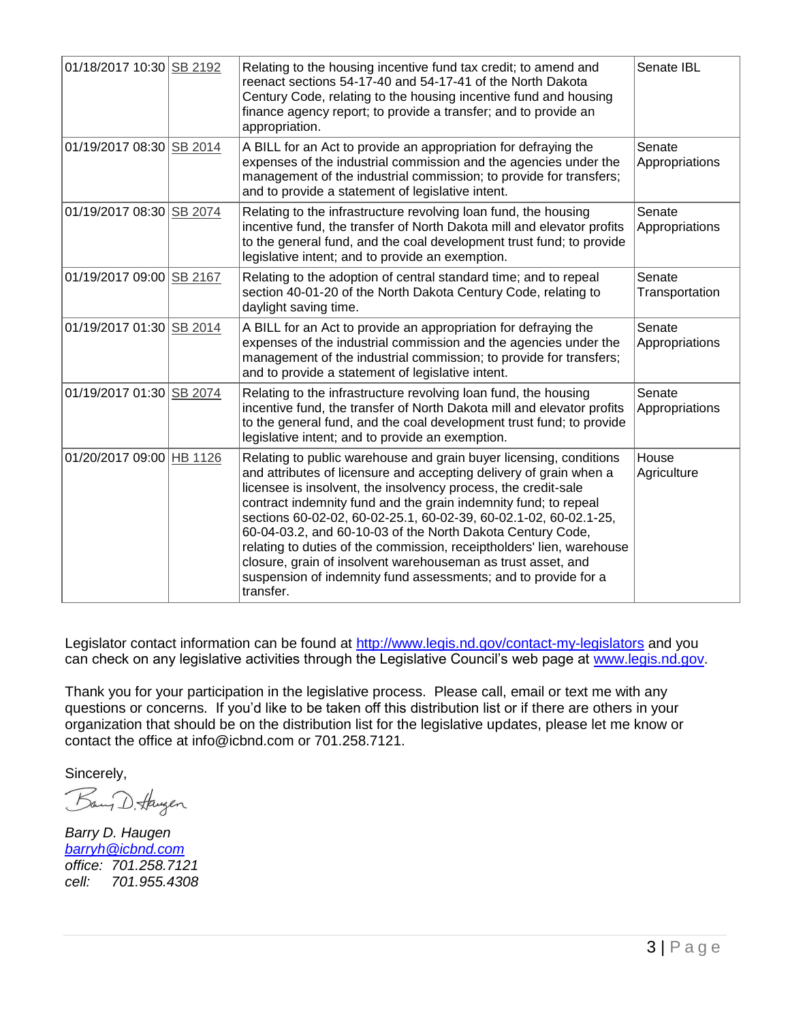| 01/18/2017 10:30 SB 2192 | Relating to the housing incentive fund tax credit; to amend and<br>reenact sections 54-17-40 and 54-17-41 of the North Dakota<br>Century Code, relating to the housing incentive fund and housing<br>finance agency report; to provide a transfer; and to provide an<br>appropriation.                                                                                                                                                                                                                                                                                                                                                  | Senate IBL               |
|--------------------------|-----------------------------------------------------------------------------------------------------------------------------------------------------------------------------------------------------------------------------------------------------------------------------------------------------------------------------------------------------------------------------------------------------------------------------------------------------------------------------------------------------------------------------------------------------------------------------------------------------------------------------------------|--------------------------|
| 01/19/2017 08:30 SB 2014 | A BILL for an Act to provide an appropriation for defraying the<br>expenses of the industrial commission and the agencies under the<br>management of the industrial commission; to provide for transfers;<br>and to provide a statement of legislative intent.                                                                                                                                                                                                                                                                                                                                                                          | Senate<br>Appropriations |
| 01/19/2017 08:30 SB 2074 | Relating to the infrastructure revolving loan fund, the housing<br>incentive fund, the transfer of North Dakota mill and elevator profits<br>to the general fund, and the coal development trust fund; to provide<br>legislative intent; and to provide an exemption.                                                                                                                                                                                                                                                                                                                                                                   | Senate<br>Appropriations |
| 01/19/2017 09:00 SB 2167 | Relating to the adoption of central standard time; and to repeal<br>section 40-01-20 of the North Dakota Century Code, relating to<br>daylight saving time.                                                                                                                                                                                                                                                                                                                                                                                                                                                                             | Senate<br>Transportation |
| 01/19/2017 01:30 SB 2014 | A BILL for an Act to provide an appropriation for defraying the<br>expenses of the industrial commission and the agencies under the<br>management of the industrial commission; to provide for transfers;<br>and to provide a statement of legislative intent.                                                                                                                                                                                                                                                                                                                                                                          | Senate<br>Appropriations |
| 01/19/2017 01:30 SB 2074 | Relating to the infrastructure revolving loan fund, the housing<br>incentive fund, the transfer of North Dakota mill and elevator profits<br>to the general fund, and the coal development trust fund; to provide<br>legislative intent; and to provide an exemption.                                                                                                                                                                                                                                                                                                                                                                   | Senate<br>Appropriations |
| 01/20/2017 09:00 HB 1126 | Relating to public warehouse and grain buyer licensing, conditions<br>and attributes of licensure and accepting delivery of grain when a<br>licensee is insolvent, the insolvency process, the credit-sale<br>contract indemnity fund and the grain indemnity fund; to repeal<br>sections 60-02-02, 60-02-25.1, 60-02-39, 60-02.1-02, 60-02.1-25,<br>60-04-03.2, and 60-10-03 of the North Dakota Century Code,<br>relating to duties of the commission, receiptholders' lien, warehouse<br>closure, grain of insolvent warehouseman as trust asset, and<br>suspension of indemnity fund assessments; and to provide for a<br>transfer. | House<br>Agriculture     |

Legislator contact information can be found at<http://www.legis.nd.gov/contact-my-legislators> and you can check on any legislative activities through the Legislative Council's web page at [www.legis.nd.gov.](http://www.legis.nd.gov/)

Thank you for your participation in the legislative process. Please call, email or text me with any questions or concerns. If you'd like to be taken off this distribution list or if there are others in your organization that should be on the distribution list for the legislative updates, please let me know or contact the office at [info@icbnd.com](mailto:info@icbnd.com) or 701.258.7121.

Sincerely,

Bang D. Haugen

*Barry D. Haugen [barryh@icbnd.com](mailto:barryh@icbnd.com) office: 701.258.7121 cell: 701.955.4308*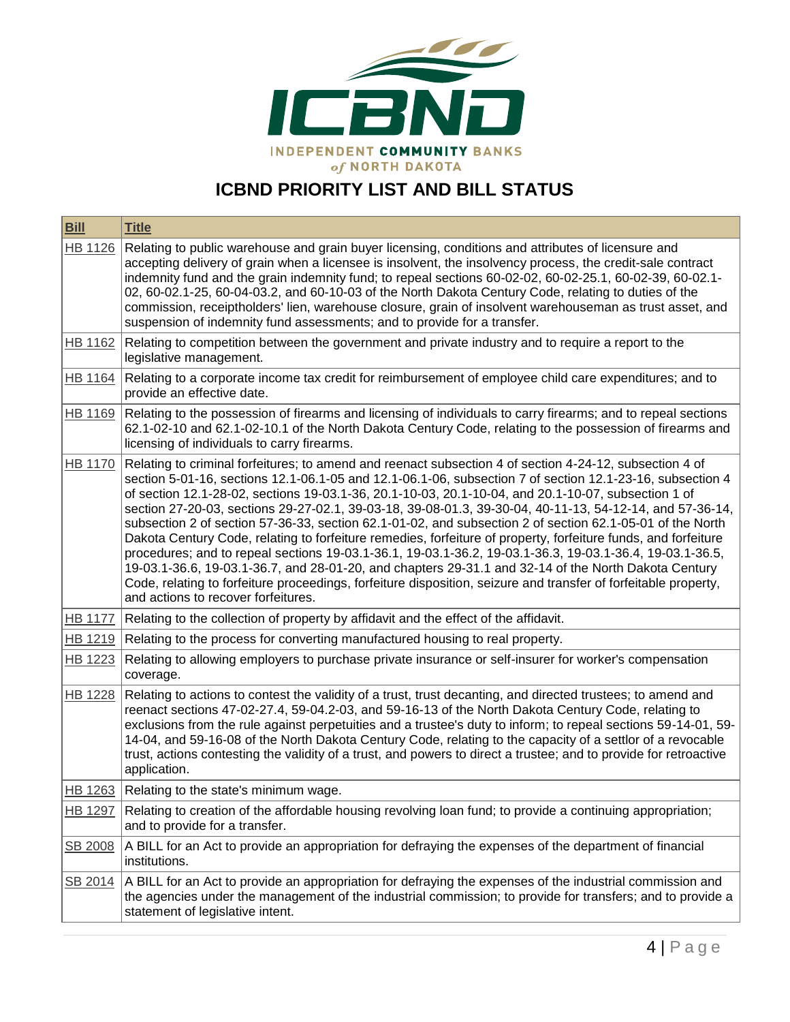

# **ICBND PRIORITY LIST AND BILL STATUS**

| <b>Bill</b>    | <b>Title</b>                                                                                                                                                                                                                                                                                                                                                                                                                                                                                                                                                                                                                                                                                                                                                                                                                                                                                                                                                                                                                                         |
|----------------|------------------------------------------------------------------------------------------------------------------------------------------------------------------------------------------------------------------------------------------------------------------------------------------------------------------------------------------------------------------------------------------------------------------------------------------------------------------------------------------------------------------------------------------------------------------------------------------------------------------------------------------------------------------------------------------------------------------------------------------------------------------------------------------------------------------------------------------------------------------------------------------------------------------------------------------------------------------------------------------------------------------------------------------------------|
| <b>HB 1126</b> | Relating to public warehouse and grain buyer licensing, conditions and attributes of licensure and<br>accepting delivery of grain when a licensee is insolvent, the insolvency process, the credit-sale contract<br>indemnity fund and the grain indemnity fund; to repeal sections 60-02-02, 60-02-25.1, 60-02-39, 60-02.1-<br>02, 60-02.1-25, 60-04-03.2, and 60-10-03 of the North Dakota Century Code, relating to duties of the<br>commission, receiptholders' lien, warehouse closure, grain of insolvent warehouseman as trust asset, and<br>suspension of indemnity fund assessments; and to provide for a transfer.                                                                                                                                                                                                                                                                                                                                                                                                                         |
| HB 1162        | Relating to competition between the government and private industry and to require a report to the<br>legislative management.                                                                                                                                                                                                                                                                                                                                                                                                                                                                                                                                                                                                                                                                                                                                                                                                                                                                                                                        |
| HB 1164        | Relating to a corporate income tax credit for reimbursement of employee child care expenditures; and to<br>provide an effective date.                                                                                                                                                                                                                                                                                                                                                                                                                                                                                                                                                                                                                                                                                                                                                                                                                                                                                                                |
| HB 1169        | Relating to the possession of firearms and licensing of individuals to carry firearms; and to repeal sections<br>62.1-02-10 and 62.1-02-10.1 of the North Dakota Century Code, relating to the possession of firearms and<br>licensing of individuals to carry firearms.                                                                                                                                                                                                                                                                                                                                                                                                                                                                                                                                                                                                                                                                                                                                                                             |
| <b>HB 1170</b> | Relating to criminal forfeitures; to amend and reenact subsection 4 of section 4-24-12, subsection 4 of<br>section 5-01-16, sections 12.1-06.1-05 and 12.1-06.1-06, subsection 7 of section 12.1-23-16, subsection 4<br>of section 12.1-28-02, sections 19-03.1-36, 20.1-10-03, 20.1-10-04, and 20.1-10-07, subsection 1 of<br>section 27-20-03, sections 29-27-02.1, 39-03-18, 39-08-01.3, 39-30-04, 40-11-13, 54-12-14, and 57-36-14,<br>subsection 2 of section 57-36-33, section 62.1-01-02, and subsection 2 of section 62.1-05-01 of the North<br>Dakota Century Code, relating to forfeiture remedies, forfeiture of property, forfeiture funds, and forfeiture<br>procedures; and to repeal sections 19-03.1-36.1, 19-03.1-36.2, 19-03.1-36.3, 19-03.1-36.4, 19-03.1-36.5,<br>19-03.1-36.6, 19-03.1-36.7, and 28-01-20, and chapters 29-31.1 and 32-14 of the North Dakota Century<br>Code, relating to forfeiture proceedings, forfeiture disposition, seizure and transfer of forfeitable property,<br>and actions to recover forfeitures. |
| <b>HB 1177</b> | Relating to the collection of property by affidavit and the effect of the affidavit.                                                                                                                                                                                                                                                                                                                                                                                                                                                                                                                                                                                                                                                                                                                                                                                                                                                                                                                                                                 |
| HB 1219        | Relating to the process for converting manufactured housing to real property.                                                                                                                                                                                                                                                                                                                                                                                                                                                                                                                                                                                                                                                                                                                                                                                                                                                                                                                                                                        |
| <b>HB 1223</b> | Relating to allowing employers to purchase private insurance or self-insurer for worker's compensation<br>coverage.                                                                                                                                                                                                                                                                                                                                                                                                                                                                                                                                                                                                                                                                                                                                                                                                                                                                                                                                  |
| HB 1228        | Relating to actions to contest the validity of a trust, trust decanting, and directed trustees; to amend and<br>reenact sections 47-02-27.4, 59-04.2-03, and 59-16-13 of the North Dakota Century Code, relating to<br>exclusions from the rule against perpetuities and a trustee's duty to inform; to repeal sections 59-14-01, 59-<br>14-04, and 59-16-08 of the North Dakota Century Code, relating to the capacity of a settlor of a revocable<br>trust, actions contesting the validity of a trust, and powers to direct a trustee; and to provide for retroactive<br>application.                                                                                                                                                                                                                                                                                                                                                                                                                                                             |
|                | HB 1263 Relating to the state's minimum wage.                                                                                                                                                                                                                                                                                                                                                                                                                                                                                                                                                                                                                                                                                                                                                                                                                                                                                                                                                                                                        |
| <b>HB 1297</b> | Relating to creation of the affordable housing revolving loan fund; to provide a continuing appropriation;<br>and to provide for a transfer.                                                                                                                                                                                                                                                                                                                                                                                                                                                                                                                                                                                                                                                                                                                                                                                                                                                                                                         |
| SB 2008        | A BILL for an Act to provide an appropriation for defraying the expenses of the department of financial<br>institutions.                                                                                                                                                                                                                                                                                                                                                                                                                                                                                                                                                                                                                                                                                                                                                                                                                                                                                                                             |
| SB 2014        | A BILL for an Act to provide an appropriation for defraying the expenses of the industrial commission and<br>the agencies under the management of the industrial commission; to provide for transfers; and to provide a<br>statement of legislative intent.                                                                                                                                                                                                                                                                                                                                                                                                                                                                                                                                                                                                                                                                                                                                                                                          |